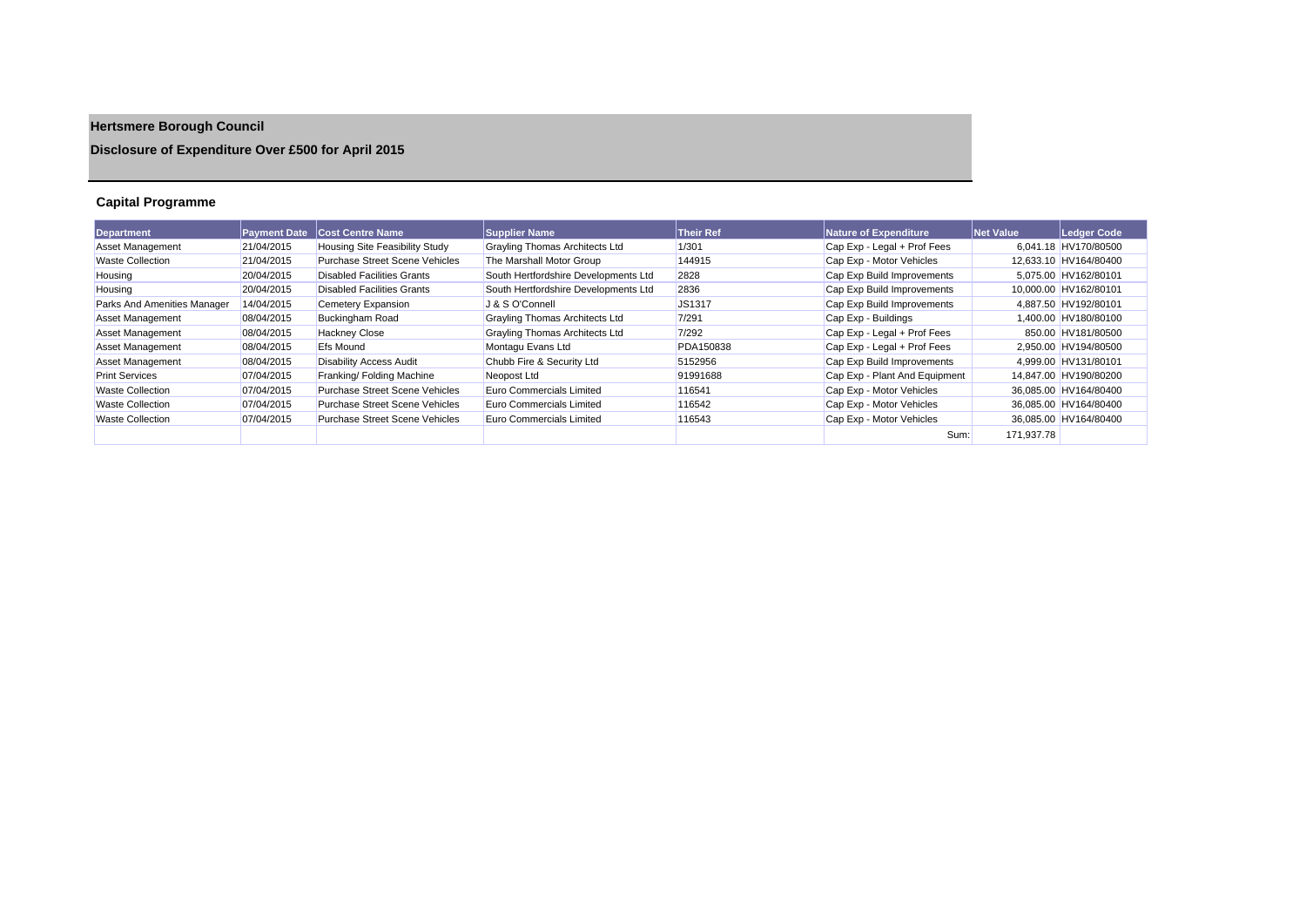# **Hertsmere Borough Council**

## **Disclosure of Expenditure Over £500 for April 2015**

## **Capital Programme**

| <b>Department</b>           | <b>Payment Date</b> | <b>Cost Centre Name</b>               | <b>Supplier Name</b>                  | <b>Their Ref</b> | Nature of Expenditure         | Net Value  | Ledger Code           |
|-----------------------------|---------------------|---------------------------------------|---------------------------------------|------------------|-------------------------------|------------|-----------------------|
| <b>Asset Management</b>     | 21/04/2015          | <b>Housing Site Feasibility Study</b> | Grayling Thomas Architects Ltd        | 1/301            | Cap Exp - Legal + Prof Fees   |            | 6.041.18 HV170/80500  |
| <b>Waste Collection</b>     | 21/04/2015          | <b>Purchase Street Scene Vehicles</b> | The Marshall Motor Group              | 144915           | Cap Exp - Motor Vehicles      |            | 12,633.10 HV164/80400 |
| Housing                     | 20/04/2015          | <b>Disabled Facilities Grants</b>     | South Hertfordshire Developments Ltd  | 2828             | Cap Exp Build Improvements    |            | 5,075.00 HV162/80101  |
| Housing                     | 20/04/2015          | Disabled Facilities Grants            | South Hertfordshire Developments Ltd  | 2836             | Cap Exp Build Improvements    |            | 10.000.00 HV162/80101 |
| Parks And Amenities Manager | 14/04/2015          | Cemetery Expansion                    | J & S O'Connell                       | <b>JS1317</b>    | Cap Exp Build Improvements    |            | 4.887.50 HV192/80101  |
| <b>Asset Management</b>     | 08/04/2015          | <b>Buckingham Road</b>                | <b>Grayling Thomas Architects Ltd</b> | 7/291            | Cap Exp - Buildings           |            | 1,400.00 HV180/80100  |
| <b>Asset Management</b>     | 08/04/2015          | <b>Hackney Close</b>                  | <b>Grayling Thomas Architects Ltd</b> | 7/292            | Cap Exp - Legal + Prof Fees   |            | 850.00 HV181/80500    |
| <b>Asset Management</b>     | 08/04/2015          | <b>Efs Mound</b>                      | Montagu Evans Ltd                     | PDA150838        | Cap Exp - Legal + Prof Fees   |            | 2.950.00 HV194/80500  |
| Asset Management            | 08/04/2015          | <b>Disability Access Audit</b>        | Chubb Fire & Security Ltd             | 5152956          | Cap Exp Build Improvements    |            | 4.999.00 HV131/80101  |
| <b>Print Services</b>       | 07/04/2015          | Franking/ Folding Machine             | Neopost Ltd                           | 91991688         | Cap Exp - Plant And Equipment |            | 14.847.00 HV190/80200 |
| <b>Waste Collection</b>     | 07/04/2015          | <b>Purchase Street Scene Vehicles</b> | Euro Commercials Limited              | 116541           | Cap Exp - Motor Vehicles      |            | 36,085.00 HV164/80400 |
| <b>Waste Collection</b>     | 07/04/2015          | <b>Purchase Street Scene Vehicles</b> | Euro Commercials Limited              | 116542           | Cap Exp - Motor Vehicles      |            | 36.085.00 HV164/80400 |
| <b>Waste Collection</b>     | 07/04/2015          | Purchase Street Scene Vehicles        | Euro Commercials Limited              | 116543           | Cap Exp - Motor Vehicles      |            | 36.085.00 HV164/80400 |
|                             |                     |                                       |                                       |                  | Sum:                          | 171.937.78 |                       |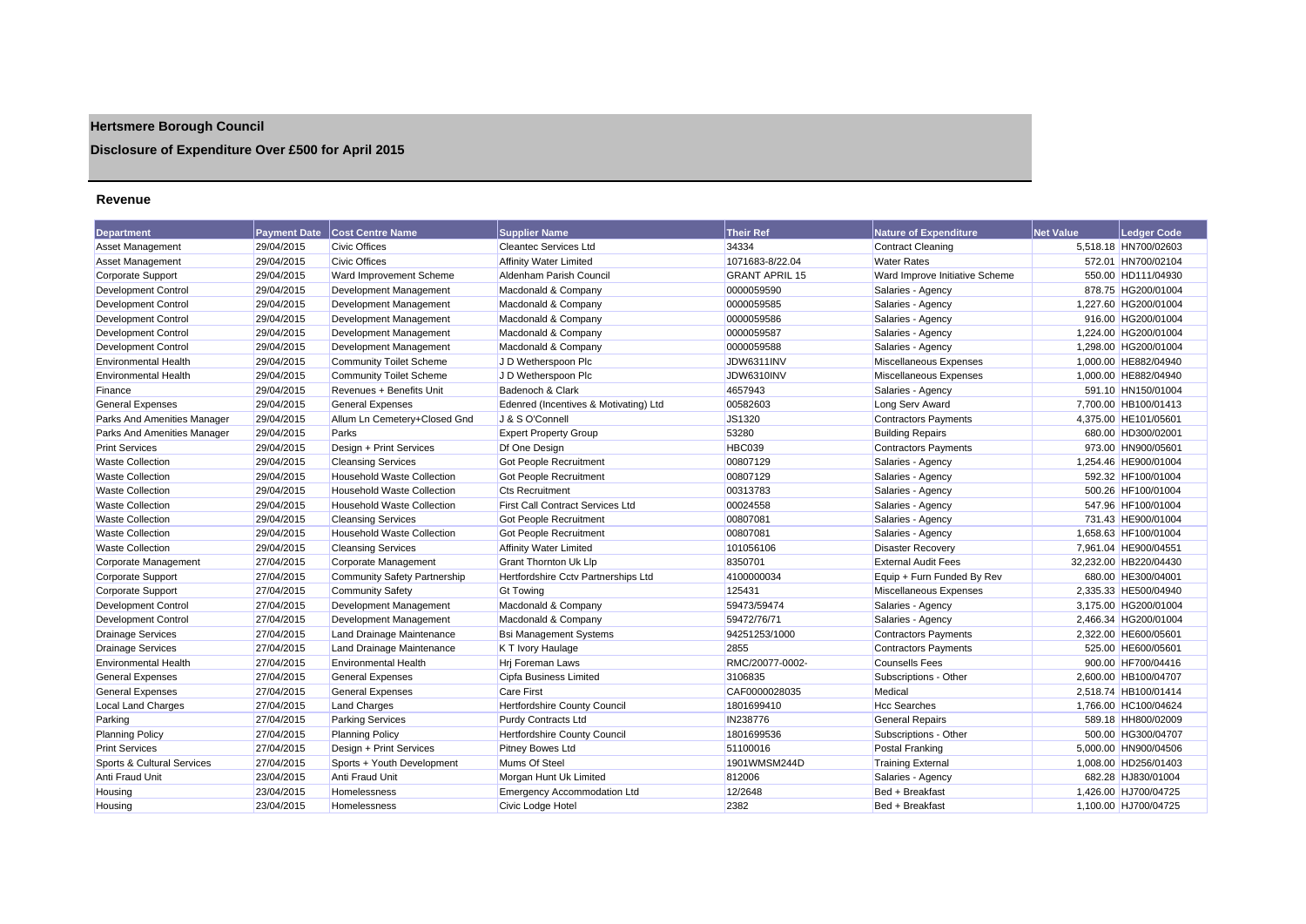## **Hertsmere Borough Council**

## **Disclosure of Expenditure Over £500 for April 2015**

#### **Revenue**

| <b>Department</b>           | <b>Payment Date</b> | <b>Cost Centre Name</b>             | <b>Supplier Name</b>                    | <b>Their Ref</b>      | Nature of Expenditure          | <b>Net Value</b> | Ledger Code           |
|-----------------------------|---------------------|-------------------------------------|-----------------------------------------|-----------------------|--------------------------------|------------------|-----------------------|
| <b>Asset Management</b>     | 29/04/2015          | <b>Civic Offices</b>                | <b>Cleantec Services Ltd</b>            | 34334                 | Contract Cleaning              |                  | 5,518.18 HN700/02603  |
| <b>Asset Management</b>     | 29/04/2015          | <b>Civic Offices</b>                | <b>Affinity Water Limited</b>           | 1071683-8/22.04       | <b>Water Rates</b>             |                  | 572.01 HN700/02104    |
| <b>Corporate Support</b>    | 29/04/2015          | Ward Improvement Scheme             | Aldenham Parish Council                 | <b>GRANT APRIL 15</b> | Ward Improve Initiative Scheme |                  | 550.00 HD111/04930    |
| <b>Development Control</b>  | 29/04/2015          | Development Management              | Macdonald & Company                     | 0000059590            | Salaries - Agency              |                  | 878.75 HG200/01004    |
| <b>Development Control</b>  | 29/04/2015          | Development Management              | Macdonald & Company                     | 0000059585            | Salaries - Agency              |                  | 1,227.60 HG200/01004  |
| <b>Development Control</b>  | 29/04/2015          | Development Management              | Macdonald & Company                     | 0000059586            | Salaries - Agency              |                  | 916.00 HG200/01004    |
| Development Control         | 29/04/2015          | Development Management              | Macdonald & Company                     | 0000059587            | Salaries - Agency              |                  | 1.224.00 HG200/01004  |
| Development Control         | 29/04/2015          | Development Management              | Macdonald & Company                     | 0000059588            | Salaries - Agency              |                  | 1,298.00 HG200/01004  |
| <b>Environmental Health</b> | 29/04/2015          | <b>Community Toilet Scheme</b>      | J D Wetherspoon Plc                     | JDW6311INV            | Miscellaneous Expenses         |                  | 1,000.00 HE882/04940  |
| <b>Environmental Health</b> | 29/04/2015          | <b>Community Toilet Scheme</b>      | J D Wetherspoon Plc                     | JDW6310INV            | Miscellaneous Expenses         |                  | 1,000.00 HE882/04940  |
| Finance                     | 29/04/2015          | Revenues + Benefits Unit            | Badenoch & Clark                        | 4657943               | Salaries - Agency              |                  | 591.10 HN150/01004    |
| <b>General Expenses</b>     | 29/04/2015          | <b>General Expenses</b>             | Edenred (Incentives & Motivating) Ltd   | 00582603              | Long Serv Award                |                  | 7.700.00 HB100/01413  |
| Parks And Amenities Manager | 29/04/2015          | Allum Ln Cemetery+Closed Gnd        | J & S O'Connell                         | JS1320                | <b>Contractors Payments</b>    |                  | 4.375.00 HE101/05601  |
| Parks And Amenities Manager | 29/04/2015          | Parks                               | <b>Expert Property Group</b>            | 53280                 | <b>Building Repairs</b>        |                  | 680.00 HD300/02001    |
| <b>Print Services</b>       | 29/04/2015          | Design + Print Services             | Df One Design                           | HBC039                | <b>Contractors Payments</b>    |                  | 973.00 HN900/05601    |
| <b>Waste Collection</b>     | 29/04/2015          | <b>Cleansing Services</b>           | Got People Recruitment                  | 00807129              | Salaries - Agency              |                  | 1.254.46 HE900/01004  |
| <b>Waste Collection</b>     | 29/04/2015          | <b>Household Waste Collection</b>   | Got People Recruitment                  | 00807129              | Salaries - Agency              |                  | 592.32 HF100/01004    |
| <b>Waste Collection</b>     | 29/04/2015          | <b>Household Waste Collection</b>   | <b>Cts Recruitment</b>                  | 00313783              | Salaries - Agency              |                  | 500.26 HF100/01004    |
| <b>Waste Collection</b>     | 29/04/2015          | <b>Household Waste Collection</b>   | <b>First Call Contract Services Ltd</b> | 00024558              | Salaries - Agency              |                  | 547.96 HF100/01004    |
| <b>Waste Collection</b>     | 29/04/2015          | <b>Cleansing Services</b>           | <b>Got People Recruitment</b>           | 00807081              | Salaries - Agency              |                  | 731.43 HE900/01004    |
| <b>Waste Collection</b>     | 29/04/2015          | <b>Household Waste Collection</b>   | Got People Recruitment                  | 00807081              | Salaries - Agency              |                  | 1,658.63 HF100/01004  |
| <b>Waste Collection</b>     | 29/04/2015          | <b>Cleansing Services</b>           | <b>Affinity Water Limited</b>           | 101056106             | <b>Disaster Recovery</b>       |                  | 7.961.04 HE900/04551  |
| Corporate Management        | 27/04/2015          | Corporate Management                | Grant Thornton Uk Llp                   | 8350701               | <b>External Audit Fees</b>     |                  | 32,232.00 HB220/04430 |
| Corporate Support           | 27/04/2015          | <b>Community Safety Partnership</b> | Hertfordshire Cctv Partnerships Ltd     | 4100000034            | Equip + Furn Funded By Rev     |                  | 680.00 HE300/04001    |
| <b>Corporate Support</b>    | 27/04/2015          | <b>Community Safety</b>             | <b>Gt Towing</b>                        | 125431                | Miscellaneous Expenses         |                  | 2,335.33 HE500/04940  |
| <b>Development Control</b>  | 27/04/2015          | Development Management              | Macdonald & Company                     | 59473/59474           | Salaries - Agency              |                  | 3.175.00 HG200/01004  |
| <b>Development Control</b>  | 27/04/2015          | Development Management              | Macdonald & Company                     | 59472/76/71           | Salaries - Agency              |                  | 2.466.34 HG200/01004  |
| <b>Drainage Services</b>    | 27/04/2015          | Land Drainage Maintenance           | <b>Bsi Management Systems</b>           | 94251253/1000         | Contractors Payments           |                  | 2,322.00 HE600/05601  |
| <b>Drainage Services</b>    | 27/04/2015          | Land Drainage Maintenance           | K T Ivory Haulage                       | 2855                  | <b>Contractors Payments</b>    |                  | 525.00 HE600/05601    |
| <b>Environmental Health</b> | 27/04/2015          | <b>Environmental Health</b>         | Hrj Foreman Laws                        | RMC/20077-0002-       | <b>Counsells Fees</b>          |                  | 900.00 HF700/04416    |
| <b>General Expenses</b>     | 27/04/2015          | <b>General Expenses</b>             | Cipfa Business Limited                  | 3106835               | Subscriptions - Other          |                  | 2,600.00 HB100/04707  |
| <b>General Expenses</b>     | 27/04/2015          | <b>General Expenses</b>             | <b>Care First</b>                       | CAF0000028035         | Medical                        |                  | 2.518.74 HB100/01414  |
| Local Land Charges          | 27/04/2015          | <b>Land Charges</b>                 | Hertfordshire County Council            | 1801699410            | <b>Hcc Searches</b>            |                  | 1,766.00 HC100/04624  |
| Parking                     | 27/04/2015          | <b>Parking Services</b>             | Purdy Contracts Ltd                     | IN238776              | <b>General Repairs</b>         |                  | 589.18 HH800/02009    |
| <b>Planning Policy</b>      | 27/04/2015          | <b>Planning Policy</b>              | Hertfordshire County Council            | 1801699536            | Subscriptions - Other          |                  | 500.00 HG300/04707    |
| <b>Print Services</b>       | 27/04/2015          | Design + Print Services             | Pitney Bowes Ltd                        | 51100016              | <b>Postal Franking</b>         |                  | 5.000.00 HN900/04506  |
| Sports & Cultural Services  | 27/04/2015          | Sports + Youth Development          | Mums Of Steel                           | 1901WMSM244D          | <b>Training External</b>       |                  | 1,008.00 HD256/01403  |
| Anti Fraud Unit             | 23/04/2015          | Anti Fraud Unit                     | Morgan Hunt Uk Limited                  | 812006                | Salaries - Agency              |                  | 682.28 HJ830/01004    |
| Housing                     | 23/04/2015          | Homelessness                        | <b>Emergency Accommodation Ltd</b>      | 12/2648               | Bed + Breakfast                |                  | 1,426.00 HJ700/04725  |
| Housing                     | 23/04/2015          | Homelessness                        | Civic Lodge Hotel                       | 2382                  | Bed + Breakfast                |                  | 1,100.00 HJ700/04725  |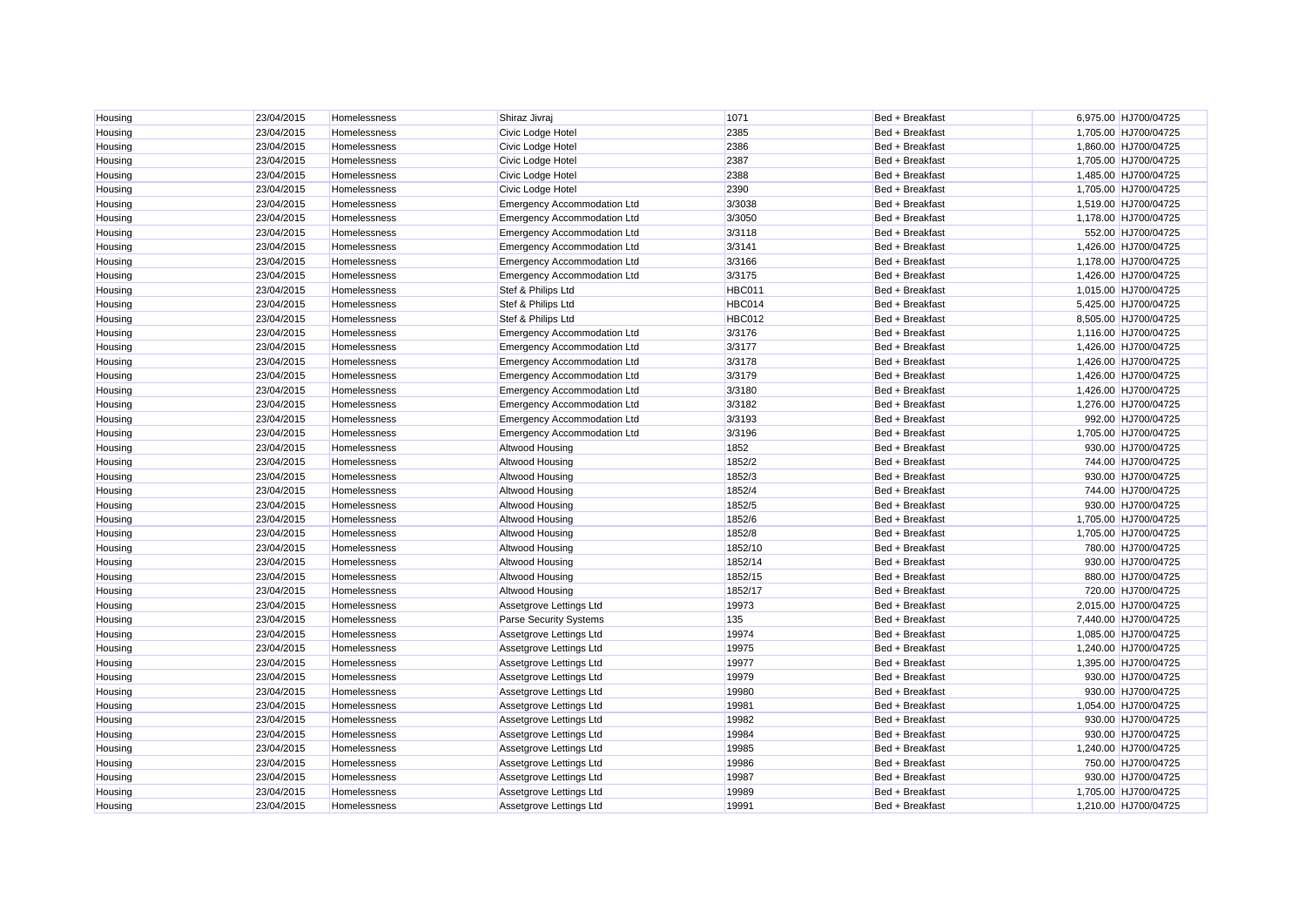| Housing | 23/04/2015<br>23/04/2015 | Homelessness                 | Shiraz Jivraj                          | 1071<br>2385  | Bed + Breakfast<br>Bed + Breakfast | 6,975.00 HJ700/04725<br>1,705.00 HJ700/04725 |
|---------|--------------------------|------------------------------|----------------------------------------|---------------|------------------------------------|----------------------------------------------|
| Housing | 23/04/2015               | Homelessness<br>Homelessness | Civic Lodge Hotel<br>Civic Lodge Hotel | 2386          | Bed + Breakfast                    | 1,860.00 HJ700/04725                         |
| Housing | 23/04/2015               | Homelessness                 | Civic Lodge Hotel                      | 2387          | Bed + Breakfast                    | 1,705.00 HJ700/04725                         |
| Housing |                          |                              |                                        |               |                                    |                                              |
| Housing | 23/04/2015<br>23/04/2015 | Homelessness                 | Civic Lodge Hotel                      | 2388<br>2390  | Bed + Breakfast                    | 1,485.00 HJ700/04725<br>1,705.00 HJ700/04725 |
| Housing |                          | Homelessness                 | Civic Lodge Hotel                      | 3/3038        | Bed + Breakfast                    |                                              |
| Housing | 23/04/2015               | Homelessness                 | <b>Emergency Accommodation Ltd</b>     |               | Bed + Breakfast                    | 1,519.00 HJ700/04725                         |
| Housing | 23/04/2015               | Homelessness                 | <b>Emergency Accommodation Ltd</b>     | 3/3050        | Bed + Breakfast                    | 1,178.00 HJ700/04725                         |
| Housing | 23/04/2015               | Homelessness                 | <b>Emergency Accommodation Ltd</b>     | 3/3118        | Bed + Breakfast                    | 552.00 HJ700/04725                           |
| Housing | 23/04/2015               | Homelessness                 | <b>Emergency Accommodation Ltd</b>     | 3/3141        | Bed + Breakfast                    | 1,426.00 HJ700/04725                         |
| Housing | 23/04/2015               | Homelessness                 | <b>Emergency Accommodation Ltd</b>     | 3/3166        | Bed + Breakfast                    | 1,178.00 HJ700/04725                         |
| Housing | 23/04/2015               | Homelessness                 | <b>Emergency Accommodation Ltd</b>     | 3/3175        | Bed + Breakfast                    | 1,426.00 HJ700/04725                         |
| Housing | 23/04/2015               | Homelessness                 | Stef & Philips Ltd                     | HBC011        | Bed + Breakfast                    | 1,015.00 HJ700/04725                         |
| Housing | 23/04/2015               | Homelessness                 | Stef & Philips Ltd                     | HBC014        | Bed + Breakfast                    | 5,425.00 HJ700/04725                         |
| Housing | 23/04/2015               | Homelessness                 | Stef & Philips Ltd                     | <b>HBC012</b> | Bed + Breakfast                    | 8,505.00 HJ700/04725                         |
| Housing | 23/04/2015               | Homelessness                 | <b>Emergency Accommodation Ltd</b>     | 3/3176        | Bed + Breakfast                    | 1,116.00 HJ700/04725                         |
| Housing | 23/04/2015               | Homelessness                 | <b>Emergency Accommodation Ltd</b>     | 3/3177        | Bed + Breakfast                    | 1,426.00 HJ700/04725                         |
| Housing | 23/04/2015               | Homelessness                 | <b>Emergency Accommodation Ltd</b>     | 3/3178        | Bed + Breakfast                    | 1,426.00 HJ700/04725                         |
| Housing | 23/04/2015               | Homelessness                 | <b>Emergency Accommodation Ltd</b>     | 3/3179        | Bed + Breakfast                    | 1,426.00 HJ700/04725                         |
| Housing | 23/04/2015               | Homelessness                 | <b>Emergency Accommodation Ltd</b>     | 3/3180        | Bed + Breakfast                    | 1,426.00 HJ700/04725                         |
| Housing | 23/04/2015               | Homelessness                 | <b>Emergency Accommodation Ltd</b>     | 3/3182        | Bed + Breakfast                    | 1,276.00 HJ700/04725                         |
| Housing | 23/04/2015               | Homelessness                 | <b>Emergency Accommodation Ltd</b>     | 3/3193        | Bed + Breakfast                    | 992.00 HJ700/04725                           |
| Housing | 23/04/2015               | Homelessness                 | <b>Emergency Accommodation Ltd</b>     | 3/3196        | Bed + Breakfast                    | 1,705.00 HJ700/04725                         |
| Housing | 23/04/2015               | Homelessness                 | Altwood Housing                        | 1852          | Bed + Breakfast                    | 930.00 HJ700/04725                           |
| Housing | 23/04/2015               | Homelessness                 | Altwood Housing                        | 1852/2        | Bed + Breakfast                    | 744.00 HJ700/04725                           |
| Housing | 23/04/2015               | Homelessness                 | Altwood Housing                        | 1852/3        | Bed + Breakfast                    | 930.00 HJ700/04725                           |
| Housing | 23/04/2015               | Homelessness                 | Altwood Housing                        | 1852/4        | Bed + Breakfast                    | 744.00 HJ700/04725                           |
| Housing | 23/04/2015               | Homelessness                 | Altwood Housing                        | 1852/5        | Bed + Breakfast                    | 930.00 HJ700/04725                           |
| Housing | 23/04/2015               | Homelessness                 | Altwood Housing                        | 1852/6        | Bed + Breakfast                    | 1,705.00 HJ700/04725                         |
| Housing | 23/04/2015               | Homelessness                 | Altwood Housing                        | 1852/8        | Bed + Breakfast                    | 1,705.00 HJ700/04725                         |
| Housing | 23/04/2015               | Homelessness                 | Altwood Housing                        | 1852/10       | Bed + Breakfast                    | 780.00 HJ700/04725                           |
| Housing | 23/04/2015               | Homelessness                 | Altwood Housing                        | 1852/14       | Bed + Breakfast                    | 930.00 HJ700/04725                           |
| Housing | 23/04/2015               | Homelessness                 | Altwood Housing                        | 1852/15       | Bed + Breakfast                    | 880.00 HJ700/04725                           |
| Housing | 23/04/2015               | Homelessness                 | Altwood Housing                        | 1852/17       | Bed + Breakfast                    | 720.00 HJ700/04725                           |
| Housing | 23/04/2015               | Homelessness                 | Assetgrove Lettings Ltd                | 19973         | Bed + Breakfast                    | 2,015.00 HJ700/04725                         |
| Housing | 23/04/2015               | Homelessness                 | Parse Security Systems                 | 135           | Bed + Breakfast                    | 7,440.00 HJ700/04725                         |
| Housing | 23/04/2015               | Homelessness                 | Assetgrove Lettings Ltd                | 19974         | Bed + Breakfast                    | 1,085.00 HJ700/04725                         |
| Housing | 23/04/2015               | Homelessness                 | Assetgrove Lettings Ltd                | 19975         | Bed + Breakfast                    | 1,240.00 HJ700/04725                         |
| Housing | 23/04/2015               | Homelessness                 | Assetgrove Lettings Ltd                | 19977         | Bed + Breakfast                    | 1,395.00 HJ700/04725                         |
| Housing | 23/04/2015               | Homelessness                 | Assetgrove Lettings Ltd                | 19979         | Bed + Breakfast                    | 930.00 HJ700/04725                           |
| Housing | 23/04/2015               | Homelessness                 | Assetgrove Lettings Ltd                | 19980         | Bed + Breakfast                    | 930.00 HJ700/04725                           |
| Housing | 23/04/2015               | Homelessness                 | Assetgrove Lettings Ltd                | 19981         | Bed + Breakfast                    | 1,054.00 HJ700/04725                         |
| Housing | 23/04/2015               | Homelessness                 | Assetgrove Lettings Ltd                | 19982         | Bed + Breakfast                    | 930.00 HJ700/04725                           |
| Housing | 23/04/2015               | Homelessness                 | Assetgrove Lettings Ltd                | 19984         | Bed + Breakfast                    | 930.00 HJ700/04725                           |
| Housing | 23/04/2015               | Homelessness                 | Assetgrove Lettings Ltd                | 19985         | Bed + Breakfast                    | 1,240.00 HJ700/04725                         |
| Housing | 23/04/2015               | Homelessness                 | Assetgrove Lettings Ltd                | 19986         | Bed + Breakfast                    | 750.00 HJ700/04725                           |
| Housing | 23/04/2015               | Homelessness                 | Assetgrove Lettings Ltd                | 19987         | Bed + Breakfast                    | 930.00 HJ700/04725                           |
| Housing | 23/04/2015               | Homelessness                 | Assetgrove Lettings Ltd                | 19989         | Bed + Breakfast                    | 1,705.00 HJ700/04725                         |
| Housing | 23/04/2015               | Homelessness                 | Assetgrove Lettings Ltd                | 19991         | Bed + Breakfast                    | 1.210.00 HJ700/04725                         |
|         |                          |                              |                                        |               |                                    |                                              |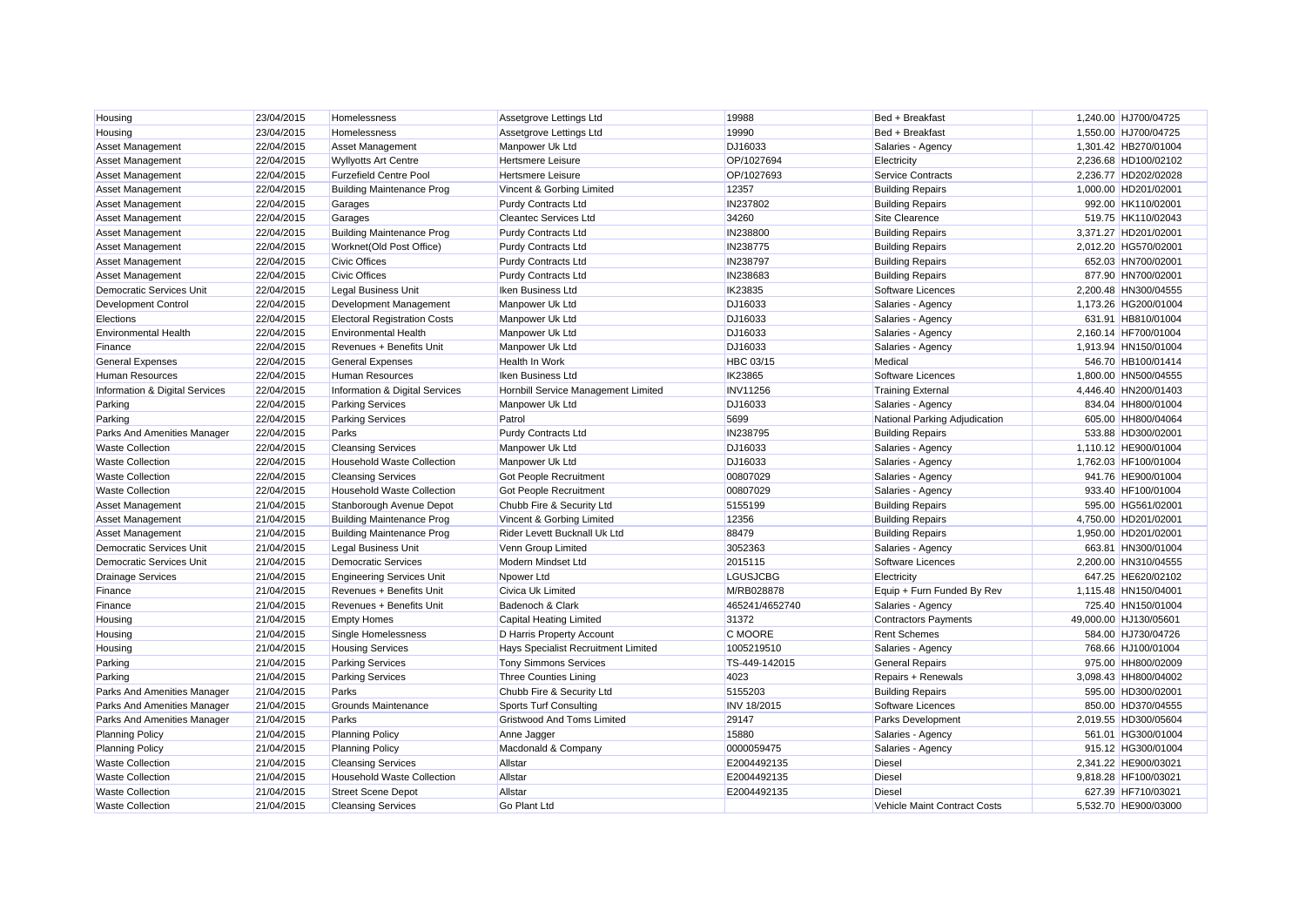| Housing                         | 23/04/2015 | Homelessness                        | Assetgrove Lettings Ltd             | 19988              | Bed + Breakfast               | 1,240.00 HJ700/04725  |
|---------------------------------|------------|-------------------------------------|-------------------------------------|--------------------|-------------------------------|-----------------------|
| Housing                         | 23/04/2015 | Homelessness                        | Assetgrove Lettings Ltd             | 19990              | Bed + Breakfast               | 1,550.00 HJ700/04725  |
| <b>Asset Management</b>         | 22/04/2015 | <b>Asset Management</b>             | Manpower Uk Ltd                     | DJ16033            | Salaries - Agency             | 1,301.42 HB270/01004  |
| Asset Management                | 22/04/2015 | <b>Wyllyotts Art Centre</b>         | Hertsmere Leisure                   | OP/1027694         | Electricity                   | 2,236.68 HD100/02102  |
| Asset Management                | 22/04/2015 | <b>Furzefield Centre Pool</b>       | Hertsmere Leisure                   | OP/1027693         | Service Contracts             | 2,236.77 HD202/02028  |
| Asset Management                | 22/04/2015 | <b>Building Maintenance Prog</b>    | Vincent & Gorbing Limited           | 12357              | <b>Building Repairs</b>       | 1,000.00 HD201/02001  |
| Asset Management                | 22/04/2015 | Garages                             | Purdy Contracts Ltd                 | IN237802           | <b>Building Repairs</b>       | 992.00 HK110/02001    |
| Asset Management                | 22/04/2015 | Garages                             | Cleantec Services Ltd               | 34260              | Site Clearence                | 519.75 HK110/02043    |
| Asset Management                | 22/04/2015 | <b>Building Maintenance Prog</b>    | Purdy Contracts Ltd                 | IN238800           | <b>Building Repairs</b>       | 3,371.27 HD201/02001  |
| Asset Management                | 22/04/2015 | Worknet(Old Post Office)            | Purdy Contracts Ltd                 | IN238775           | <b>Building Repairs</b>       | 2,012.20 HG570/02001  |
| Asset Management                | 22/04/2015 | <b>Civic Offices</b>                | Purdy Contracts Ltd                 | IN238797           | <b>Building Repairs</b>       | 652.03 HN700/02001    |
| Asset Management                | 22/04/2015 | <b>Civic Offices</b>                | Purdy Contracts Ltd                 | IN238683           | <b>Building Repairs</b>       | 877.90 HN700/02001    |
| Democratic Services Unit        | 22/04/2015 | <b>Legal Business Unit</b>          | Iken Business Ltd                   | IK23835            | Software Licences             | 2,200.48 HN300/04555  |
| <b>Development Control</b>      | 22/04/2015 | Development Management              | Manpower Uk Ltd                     | DJ16033            | Salaries - Agency             | 1,173.26 HG200/01004  |
| Elections                       | 22/04/2015 | <b>Electoral Registration Costs</b> | Manpower Uk Ltd                     | DJ16033            | Salaries - Agency             | 631.91 HB810/01004    |
| <b>Environmental Health</b>     | 22/04/2015 | <b>Environmental Health</b>         | Manpower Uk Ltd                     | DJ16033            | Salaries - Agency             | 2.160.14 HF700/01004  |
| Finance                         | 22/04/2015 | Revenues + Benefits Unit            | Manpower Uk Ltd                     | DJ16033            | Salaries - Agency             | 1,913.94 HN150/01004  |
| <b>General Expenses</b>         | 22/04/2015 | <b>General Expenses</b>             | Health In Work                      | HBC 03/15          | Medical                       | 546.70 HB100/01414    |
| <b>Human Resources</b>          | 22/04/2015 | <b>Human Resources</b>              | Iken Business Ltd                   | IK23865            | Software Licences             | 1.800.00 HN500/04555  |
| Information & Digital Services  | 22/04/2015 | Information & Digital Services      | Hornbill Service Management Limited | <b>INV11256</b>    | <b>Training External</b>      | 4,446.40 HN200/01403  |
| Parking                         | 22/04/2015 | <b>Parking Services</b>             | Manpower Uk Ltd                     | DJ16033            | Salaries - Agency             | 834.04 HH800/01004    |
| Parking                         | 22/04/2015 | <b>Parking Services</b>             | Patrol                              | 5699               | National Parking Adjudication | 605.00 HH800/04064    |
| Parks And Amenities Manager     | 22/04/2015 | Parks                               | Purdy Contracts Ltd                 | IN238795           | <b>Building Repairs</b>       | 533.88 HD300/02001    |
| <b>Waste Collection</b>         | 22/04/2015 | <b>Cleansing Services</b>           | Manpower Uk Ltd                     | DJ16033            | Salaries - Agency             | 1,110.12 HE900/01004  |
| <b>Waste Collection</b>         | 22/04/2015 | <b>Household Waste Collection</b>   | Manpower Uk Ltd                     | DJ16033            | Salaries - Agency             | 1,762.03 HF100/01004  |
| <b>Waste Collection</b>         | 22/04/2015 | <b>Cleansing Services</b>           | Got People Recruitment              | 00807029           | Salaries - Agency             | 941.76 HE900/01004    |
| <b>Waste Collection</b>         | 22/04/2015 | <b>Household Waste Collection</b>   | Got People Recruitment              | 00807029           | Salaries - Agency             | 933.40 HF100/01004    |
| <b>Asset Management</b>         | 21/04/2015 | Stanborough Avenue Depot            | Chubb Fire & Security Ltd           | 5155199            | <b>Building Repairs</b>       | 595.00 HG561/02001    |
| Asset Management                | 21/04/2015 | <b>Building Maintenance Prog</b>    | Vincent & Gorbing Limited           | 12356              | <b>Building Repairs</b>       | 4,750.00 HD201/02001  |
| Asset Management                | 21/04/2015 | <b>Building Maintenance Prog</b>    | Rider Levett Bucknall Uk Ltd        | 88479              | <b>Building Repairs</b>       | 1,950.00 HD201/02001  |
| Democratic Services Unit        | 21/04/2015 | <b>Legal Business Unit</b>          | Venn Group Limited                  | 3052363            | Salaries - Agency             | 663.81 HN300/01004    |
| <b>Democratic Services Unit</b> | 21/04/2015 | <b>Democratic Services</b>          | Modern Mindset Ltd                  | 2015115            | Software Licences             | 2,200.00 HN310/04555  |
| <b>Drainage Services</b>        | 21/04/2015 | <b>Engineering Services Unit</b>    | Npower Ltd                          | LGUSJCBG           | Electricity                   | 647.25 HE620/02102    |
| Finance                         | 21/04/2015 | Revenues + Benefits Unit            | Civica Uk Limited                   | M/RB028878         | Equip + Furn Funded By Rev    | 1,115.48 HN150/04001  |
| Finance                         | 21/04/2015 | Revenues + Benefits Unit            | Badenoch & Clark                    | 465241/4652740     | Salaries - Agency             | 725.40 HN150/01004    |
| Housing                         | 21/04/2015 | <b>Empty Homes</b>                  | Capital Heating Limited             | 31372              | <b>Contractors Payments</b>   | 49,000.00 HJ130/05601 |
| Housing                         | 21/04/2015 | Single Homelessness                 | D Harris Property Account           | C MOORE            | <b>Rent Schemes</b>           | 584.00 HJ730/04726    |
| Housing                         | 21/04/2015 | <b>Housing Services</b>             | Hays Specialist Recruitment Limited | 1005219510         | Salaries - Agency             | 768.66 HJ100/01004    |
| Parking                         | 21/04/2015 | <b>Parking Services</b>             | <b>Tony Simmons Services</b>        | TS-449-142015      | <b>General Repairs</b>        | 975.00 HH800/02009    |
| Parking                         | 21/04/2015 | <b>Parking Services</b>             | <b>Three Counties Lining</b>        | 4023               | Repairs + Renewals            | 3,098.43 HH800/04002  |
| Parks And Amenities Manager     | 21/04/2015 | Parks                               | Chubb Fire & Security Ltd           | 5155203            | <b>Building Repairs</b>       | 595.00 HD300/02001    |
| Parks And Amenities Manager     | 21/04/2015 | <b>Grounds Maintenance</b>          | <b>Sports Turf Consulting</b>       | <b>INV 18/2015</b> | Software Licences             | 850.00 HD370/04555    |
| Parks And Amenities Manager     | 21/04/2015 | Parks                               | Gristwood And Toms Limited          | 29147              | Parks Development             | 2,019.55 HD300/05604  |
| <b>Planning Policy</b>          | 21/04/2015 | <b>Planning Policy</b>              | Anne Jagger                         | 15880              | Salaries - Agency             | 561.01 HG300/01004    |
| <b>Planning Policy</b>          | 21/04/2015 | <b>Planning Policy</b>              | Macdonald & Company                 | 0000059475         | Salaries - Agency             | 915.12 HG300/01004    |
| <b>Waste Collection</b>         | 21/04/2015 | <b>Cleansing Services</b>           | Allstar                             | E2004492135        | <b>Diesel</b>                 | 2,341.22 HE900/03021  |
| <b>Waste Collection</b>         | 21/04/2015 | <b>Household Waste Collection</b>   | Allstar                             | E2004492135        | <b>Diesel</b>                 | 9,818.28 HF100/03021  |
| <b>Waste Collection</b>         | 21/04/2015 | <b>Street Scene Depot</b>           | Allstar                             | E2004492135        | <b>Diesel</b>                 | 627.39 HF710/03021    |
| <b>Waste Collection</b>         | 21/04/2015 | <b>Cleansing Services</b>           | Go Plant Ltd                        |                    | Vehicle Maint Contract Costs  | 5.532.70 HE900/03000  |
|                                 |            |                                     |                                     |                    |                               |                       |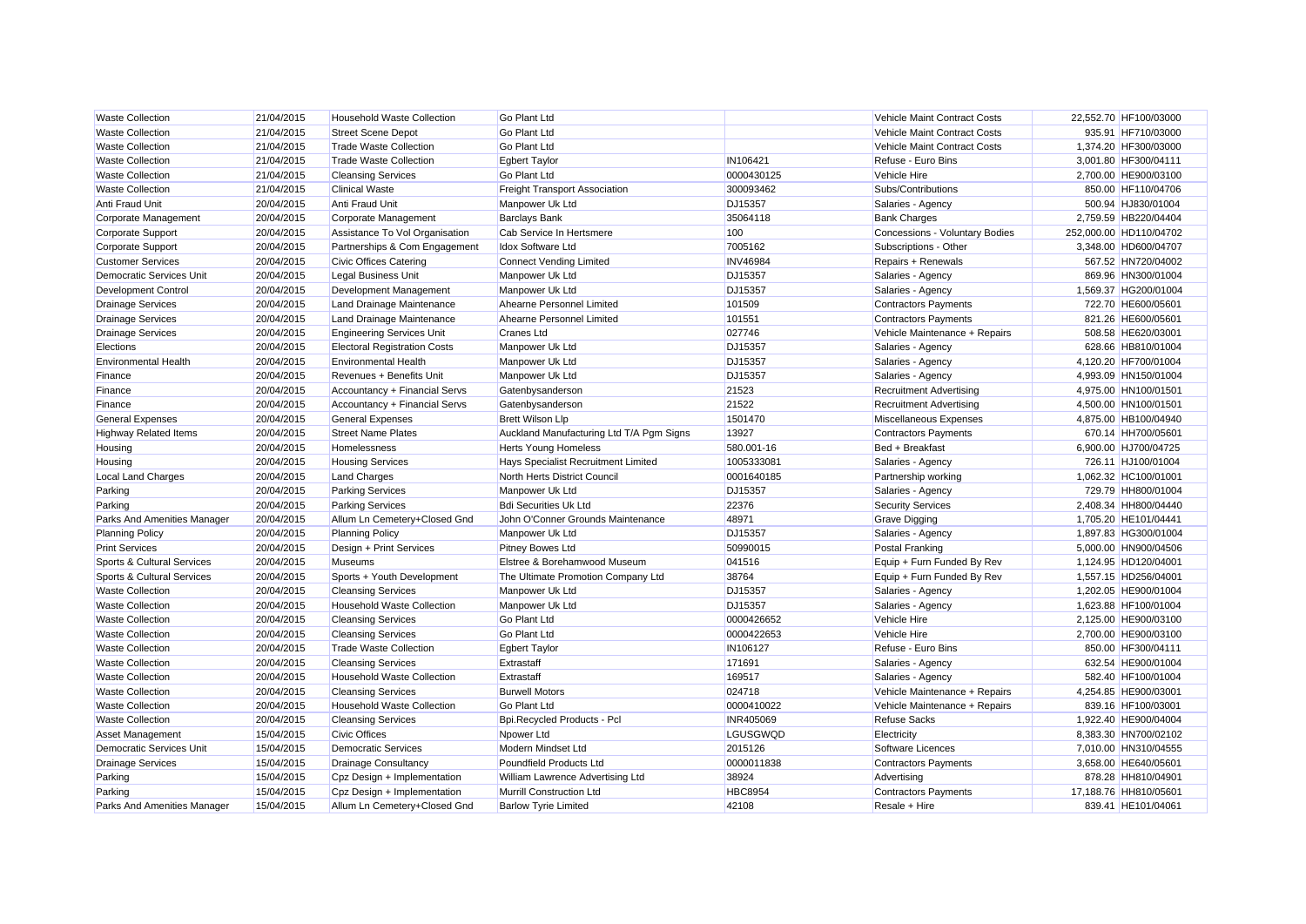| <b>Waste Collection</b>         | 21/04/2015 | <b>Household Waste Collection</b>   | Go Plant Ltd                             |                 | Vehicle Maint Contract Costs   | 22,552.70 HF100/03000  |
|---------------------------------|------------|-------------------------------------|------------------------------------------|-----------------|--------------------------------|------------------------|
| <b>Waste Collection</b>         | 21/04/2015 | <b>Street Scene Depot</b>           | Go Plant Ltd                             |                 | Vehicle Maint Contract Costs   | 935.91 HF710/03000     |
| <b>Waste Collection</b>         | 21/04/2015 | <b>Trade Waste Collection</b>       | Go Plant Ltd                             |                 | Vehicle Maint Contract Costs   | 1,374.20 HF300/03000   |
| <b>Waste Collection</b>         | 21/04/2015 | <b>Trade Waste Collection</b>       | <b>Egbert Taylor</b>                     | IN106421        | Refuse - Euro Bins             | 3,001.80 HF300/04111   |
| <b>Waste Collection</b>         | 21/04/2015 | <b>Cleansing Services</b>           | Go Plant Ltd                             | 0000430125      | Vehicle Hire                   | 2,700.00 HE900/03100   |
| <b>Waste Collection</b>         | 21/04/2015 | <b>Clinical Waste</b>               | <b>Freight Transport Association</b>     | 300093462       | Subs/Contributions             | 850.00 HF110/04706     |
| Anti Fraud Unit                 | 20/04/2015 | <b>Anti Fraud Unit</b>              | Manpower Uk Ltd                          | DJ15357         | Salaries - Agency              | 500.94 HJ830/01004     |
| Corporate Management            | 20/04/2015 | Corporate Management                | <b>Barclays Bank</b>                     | 35064118        | <b>Bank Charges</b>            | 2,759.59 HB220/04404   |
| <b>Corporate Support</b>        | 20/04/2015 | Assistance To Vol Organisation      | Cab Service In Hertsmere                 | 100             | Concessions - Voluntary Bodies | 252,000.00 HD110/04702 |
| <b>Corporate Support</b>        | 20/04/2015 | Partnerships & Com Engagement       | <b>Idox Software Ltd</b>                 | 7005162         | Subscriptions - Other          | 3,348.00 HD600/04707   |
| <b>Customer Services</b>        | 20/04/2015 | <b>Civic Offices Catering</b>       | <b>Connect Vending Limited</b>           | <b>INV46984</b> | Repairs + Renewals             | 567.52 HN720/04002     |
| Democratic Services Unit        | 20/04/2015 | <b>Legal Business Unit</b>          | Manpower Uk Ltd                          | DJ15357         | Salaries - Agency              | 869.96 HN300/01004     |
| <b>Development Control</b>      | 20/04/2015 | Development Management              | Manpower Uk Ltd                          | DJ15357         | Salaries - Agency              | 1,569.37 HG200/01004   |
| <b>Drainage Services</b>        | 20/04/2015 | Land Drainage Maintenance           | Ahearne Personnel Limited                | 101509          | <b>Contractors Payments</b>    | 722.70 HE600/05601     |
| <b>Drainage Services</b>        | 20/04/2015 | Land Drainage Maintenance           | Ahearne Personnel Limited                | 101551          | <b>Contractors Payments</b>    | 821.26 HE600/05601     |
| <b>Drainage Services</b>        | 20/04/2015 | <b>Engineering Services Unit</b>    | Cranes Ltd                               | 027746          | Vehicle Maintenance + Repairs  | 508.58 HE620/03001     |
| Elections                       | 20/04/2015 | <b>Electoral Registration Costs</b> | Manpower Uk Ltd                          | DJ15357         | Salaries - Agency              | 628.66 HB810/01004     |
| <b>Environmental Health</b>     | 20/04/2015 | <b>Environmental Health</b>         | Manpower Uk Ltd                          | DJ15357         | Salaries - Agency              | 4.120.20 HF700/01004   |
| Finance                         | 20/04/2015 | Revenues + Benefits Unit            | Manpower Uk Ltd                          | DJ15357         | Salaries - Agency              | 4,993.09 HN150/01004   |
| Finance                         | 20/04/2015 | Accountancy + Financial Servs       | Gatenbysanderson                         | 21523           | <b>Recruitment Advertising</b> | 4,975.00 HN100/01501   |
| Finance                         | 20/04/2015 | Accountancy + Financial Servs       | Gatenbysanderson                         | 21522           | <b>Recruitment Advertising</b> | 4,500.00 HN100/01501   |
| <b>General Expenses</b>         | 20/04/2015 | <b>General Expenses</b>             | <b>Brett Wilson Llp</b>                  | 1501470         | Miscellaneous Expenses         | 4,875.00 HB100/04940   |
| <b>Highway Related Items</b>    | 20/04/2015 | <b>Street Name Plates</b>           | Auckland Manufacturing Ltd T/A Pgm Signs | 13927           | <b>Contractors Payments</b>    | 670.14 HH700/05601     |
| Housing                         | 20/04/2015 | Homelessness                        | <b>Herts Young Homeless</b>              | 580.001-16      | Bed + Breakfast                | 6,900.00 HJ700/04725   |
| Housing                         | 20/04/2015 | <b>Housing Services</b>             | Hays Specialist Recruitment Limited      | 1005333081      | Salaries - Agency              | 726.11 HJ100/01004     |
| <b>Local Land Charges</b>       | 20/04/2015 | <b>Land Charges</b>                 | North Herts District Council             | 0001640185      | Partnership working            | 1,062.32 HC100/01001   |
| Parking                         | 20/04/2015 | <b>Parking Services</b>             | Manpower Uk Ltd                          | DJ15357         | Salaries - Agency              | 729.79 HH800/01004     |
| Parking                         | 20/04/2015 | <b>Parking Services</b>             | <b>Bdi Securities Uk Ltd</b>             | 22376           | <b>Security Services</b>       | 2,408.34 HH800/04440   |
| Parks And Amenities Manager     | 20/04/2015 | Allum Ln Cemetery+Closed Gnd        | John O'Conner Grounds Maintenance        | 48971           | <b>Grave Digging</b>           | 1,705.20 HE101/04441   |
| <b>Planning Policy</b>          | 20/04/2015 | <b>Planning Policy</b>              | Manpower Uk Ltd                          | DJ15357         | Salaries - Agency              | 1,897.83 HG300/01004   |
| <b>Print Services</b>           | 20/04/2015 | Design + Print Services             | Pitney Bowes Ltd                         | 50990015        | <b>Postal Franking</b>         | 5,000.00 HN900/04506   |
| Sports & Cultural Services      | 20/04/2015 | <b>Museums</b>                      | Elstree & Borehamwood Museum             | 041516          | Equip + Furn Funded By Rev     | 1,124.95 HD120/04001   |
| Sports & Cultural Services      | 20/04/2015 | Sports + Youth Development          | The Ultimate Promotion Company Ltd       | 38764           | Equip + Furn Funded By Rev     | 1,557.15 HD256/04001   |
| <b>Waste Collection</b>         | 20/04/2015 | <b>Cleansing Services</b>           | Manpower Uk Ltd                          | DJ15357         | Salaries - Agency              | 1,202.05 HE900/01004   |
| <b>Waste Collection</b>         | 20/04/2015 | <b>Household Waste Collection</b>   | Manpower Uk Ltd                          | DJ15357         | Salaries - Agency              | 1,623.88 HF100/01004   |
| <b>Waste Collection</b>         | 20/04/2015 | <b>Cleansing Services</b>           | Go Plant Ltd                             | 0000426652      | Vehicle Hire                   | 2,125.00 HE900/03100   |
| <b>Waste Collection</b>         | 20/04/2015 | <b>Cleansing Services</b>           | Go Plant Ltd                             | 0000422653      | Vehicle Hire                   | 2,700.00 HE900/03100   |
| <b>Waste Collection</b>         | 20/04/2015 | <b>Trade Waste Collection</b>       | <b>Egbert Taylor</b>                     | IN106127        | Refuse - Euro Bins             | 850.00 HF300/04111     |
| <b>Waste Collection</b>         | 20/04/2015 | <b>Cleansing Services</b>           | Extrastaff                               | 171691          | Salaries - Agency              | 632.54 HE900/01004     |
| <b>Waste Collection</b>         | 20/04/2015 | <b>Household Waste Collection</b>   | Extrastaff                               | 169517          | Salaries - Agency              | 582.40 HF100/01004     |
| <b>Waste Collection</b>         | 20/04/2015 | <b>Cleansing Services</b>           | <b>Burwell Motors</b>                    | 024718          | Vehicle Maintenance + Repairs  | 4,254.85 HE900/03001   |
| <b>Waste Collection</b>         | 20/04/2015 | <b>Household Waste Collection</b>   | Go Plant Ltd                             | 0000410022      | Vehicle Maintenance + Repairs  | 839.16 HF100/03001     |
| <b>Waste Collection</b>         | 20/04/2015 | <b>Cleansing Services</b>           | Bpi.Recycled Products - Pcl              | INR405069       | <b>Refuse Sacks</b>            | 1,922.40 HE900/04004   |
| Asset Management                | 15/04/2015 | <b>Civic Offices</b>                | Npower Ltd                               | LGUSGWQD        | Electricity                    | 8,383.30 HN700/02102   |
| <b>Democratic Services Unit</b> | 15/04/2015 | <b>Democratic Services</b>          | Modern Mindset Ltd                       | 2015126         | Software Licences              | 7.010.00 HN310/04555   |
| <b>Drainage Services</b>        | 15/04/2015 | <b>Drainage Consultancy</b>         | Poundfield Products Ltd                  | 0000011838      | <b>Contractors Payments</b>    | 3,658.00 HE640/05601   |
| Parking                         | 15/04/2015 | Cpz Design + Implementation         | William Lawrence Advertising Ltd         | 38924           | Advertising                    | 878.28 HH810/04901     |
| Parking                         | 15/04/2015 | Cpz Design + Implementation         | <b>Murrill Construction Ltd</b>          | <b>HBC8954</b>  | <b>Contractors Payments</b>    | 17.188.76 HH810/05601  |
| Parks And Amenities Manager     | 15/04/2015 | Allum Ln Cemeterv+Closed Gnd        | <b>Barlow Tyrie Limited</b>              | 42108           | Resale + Hire                  | 839.41 HE101/04061     |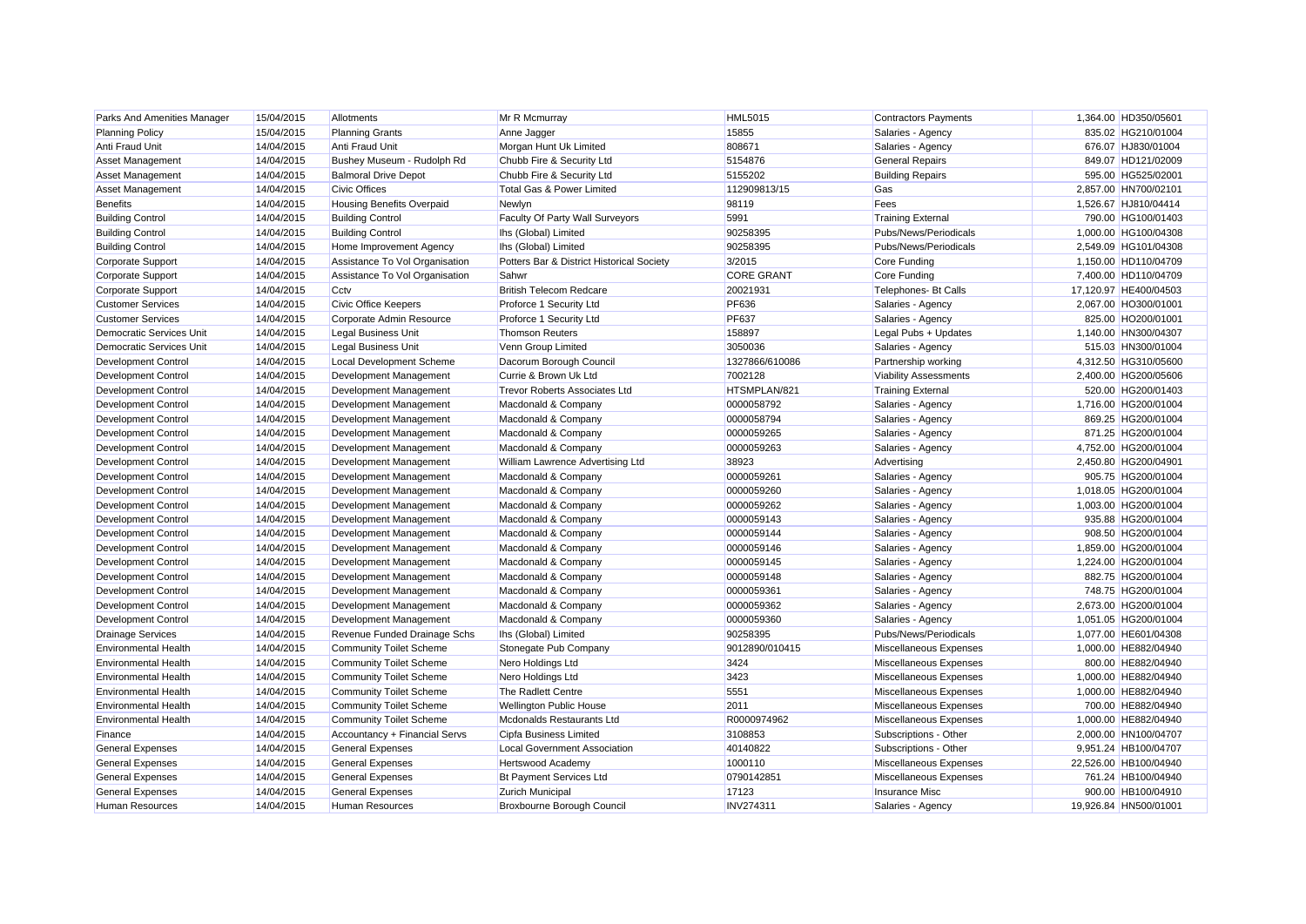| Parks And Amenities Manager | 15/04/2015 | Allotments                       | Mr R Mcmurray                             | <b>HML5015</b>    | <b>Contractors Payments</b>  | 1,364.00 HD350/0560   |
|-----------------------------|------------|----------------------------------|-------------------------------------------|-------------------|------------------------------|-----------------------|
| <b>Planning Policy</b>      | 15/04/2015 | <b>Planning Grants</b>           | Anne Jagger                               | 15855             | Salaries - Agency            | 835.02 HG210/01004    |
| Anti Fraud Unit             | 14/04/2015 | Anti Fraud Unit                  | Morgan Hunt Uk Limited                    | 808671            | Salaries - Agency            | 676.07 HJ830/01004    |
| Asset Management            | 14/04/2015 | Bushey Museum - Rudolph Rd       | Chubb Fire & Security Ltd                 | 5154876           | <b>General Repairs</b>       | 849.07 HD121/02009    |
| Asset Management            | 14/04/2015 | <b>Balmoral Drive Depot</b>      | Chubb Fire & Security Ltd                 | 5155202           | <b>Building Repairs</b>      | 595.00 HG525/02001    |
| Asset Management            | 14/04/2015 | <b>Civic Offices</b>             | Total Gas & Power Limited                 | 112909813/15      | Gas                          | 2,857.00 HN700/02101  |
| <b>Benefits</b>             | 14/04/2015 | <b>Housing Benefits Overpaid</b> | Newlyn                                    | 98119             | Fees                         | 1.526.67 HJ810/04414  |
| <b>Building Control</b>     | 14/04/2015 | <b>Building Control</b>          | Faculty Of Party Wall Surveyors           | 5991              | <b>Training External</b>     | 790.00 HG100/01403    |
| <b>Building Control</b>     | 14/04/2015 | <b>Building Control</b>          | Ihs (Global) Limited                      | 90258395          | Pubs/News/Periodicals        | 1,000.00 HG100/04308  |
| <b>Building Control</b>     | 14/04/2015 | Home Improvement Agency          | Ihs (Global) Limited                      | 90258395          | Pubs/News/Periodicals        | 2,549.09 HG101/04308  |
| Corporate Support           | 14/04/2015 | Assistance To Vol Organisation   | Potters Bar & District Historical Society | 3/2015            | Core Funding                 | 1,150.00 HD110/04709  |
| Corporate Support           | 14/04/2015 | Assistance To Vol Organisation   | Sahwr                                     | <b>CORE GRANT</b> | Core Funding                 | 7,400.00 HD110/04709  |
| Corporate Support           | 14/04/2015 | Cctv                             | <b>British Telecom Redcare</b>            | 20021931          | <b>Telephones- Bt Calls</b>  | 17,120.97 HE400/04503 |
| <b>Customer Services</b>    | 14/04/2015 | <b>Civic Office Keepers</b>      | Proforce 1 Security Ltd                   | <b>PF636</b>      | Salaries - Agency            | 2,067.00 HO300/01001  |
| <b>Customer Services</b>    | 14/04/2015 | Corporate Admin Resource         | Proforce 1 Security Ltd                   | <b>PF637</b>      | Salaries - Agency            | 825.00 HO200/01001    |
| Democratic Services Unit    | 14/04/2015 | Legal Business Unit              | <b>Thomson Reuters</b>                    | 158897            | Legal Pubs + Updates         | 1,140.00 HN300/04307  |
| Democratic Services Unit    | 14/04/2015 | Legal Business Unit              | Venn Group Limited                        | 3050036           | Salaries - Agency            | 515.03 HN300/01004    |
| Development Control         | 14/04/2015 | Local Development Scheme         | Dacorum Borough Council                   | 1327866/610086    | Partnership working          | 4,312.50 HG310/05600  |
| <b>Development Control</b>  | 14/04/2015 | Development Management           | Currie & Brown Uk Ltd                     | 7002128           | <b>Viability Assessments</b> | 2,400.00 HG200/05606  |
| <b>Development Control</b>  | 14/04/2015 | Development Management           | <b>Trevor Roberts Associates Ltd</b>      | HTSMPLAN/821      | <b>Training External</b>     | 520.00 HG200/01403    |
| <b>Development Control</b>  | 14/04/2015 | Development Management           | Macdonald & Company                       | 0000058792        | Salaries - Agency            | 1,716.00 HG200/01004  |
| <b>Development Control</b>  | 14/04/2015 | Development Management           | Macdonald & Company                       | 0000058794        | Salaries - Agency            | 869.25 HG200/01004    |
| Development Control         | 14/04/2015 | Development Management           | Macdonald & Company                       | 0000059265        | Salaries - Agency            | 871.25 HG200/01004    |
| Development Control         | 14/04/2015 | Development Management           | Macdonald & Company                       | 0000059263        | Salaries - Agency            | 4,752.00 HG200/01004  |
| <b>Development Control</b>  | 14/04/2015 | Development Management           | William Lawrence Advertising Ltd          | 38923             | Advertising                  | 2,450.80 HG200/04901  |
| <b>Development Control</b>  | 14/04/2015 | Development Management           | Macdonald & Company                       | 0000059261        | Salaries - Agency            | 905.75 HG200/01004    |
| <b>Development Control</b>  | 14/04/2015 | Development Management           | Macdonald & Company                       | 0000059260        | Salaries - Agency            | 1,018.05 HG200/01004  |
| <b>Development Control</b>  | 14/04/2015 | Development Management           | Macdonald & Company                       | 0000059262        | Salaries - Agency            | 1.003.00 HG200/01004  |
| <b>Development Control</b>  | 14/04/2015 | Development Management           | Macdonald & Company                       | 0000059143        | Salaries - Agency            | 935.88 HG200/01004    |
| <b>Development Control</b>  | 14/04/2015 | Development Management           | Macdonald & Company                       | 0000059144        | Salaries - Agency            | 908.50 HG200/01004    |
| <b>Development Control</b>  | 14/04/2015 | Development Management           | Macdonald & Company                       | 0000059146        | Salaries - Agency            | 1,859.00 HG200/01004  |
| Development Control         | 14/04/2015 | Development Management           | Macdonald & Company                       | 0000059145        | Salaries - Agency            | 1,224.00 HG200/01004  |
| <b>Development Control</b>  | 14/04/2015 | Development Management           | Macdonald & Company                       | 0000059148        | Salaries - Agency            | 882.75 HG200/01004    |
| <b>Development Control</b>  | 14/04/2015 | Development Management           | Macdonald & Company                       | 0000059361        | Salaries - Agency            | 748.75 HG200/01004    |
| <b>Development Control</b>  | 14/04/2015 | Development Management           | Macdonald & Company                       | 0000059362        | Salaries - Agency            | 2,673.00 HG200/01004  |
| Development Control         | 14/04/2015 | Development Management           | Macdonald & Company                       | 0000059360        | Salaries - Agency            | 1,051.05 HG200/01004  |
| <b>Drainage Services</b>    | 14/04/2015 | Revenue Funded Drainage Schs     | Ihs (Global) Limited                      | 90258395          | Pubs/News/Periodicals        | 1,077.00 HE601/04308  |
| <b>Environmental Health</b> | 14/04/2015 | <b>Community Toilet Scheme</b>   | Stonegate Pub Company                     | 9012890/010415    | Miscellaneous Expenses       | 1,000.00 HE882/04940  |
| <b>Environmental Health</b> | 14/04/2015 | <b>Community Toilet Scheme</b>   | Nero Holdings Ltd                         | 3424              | Miscellaneous Expenses       | 800.00 HE882/04940    |
| <b>Environmental Health</b> | 14/04/2015 | <b>Community Toilet Scheme</b>   | Nero Holdings Ltd                         | 3423              | Miscellaneous Expenses       | 1,000.00 HE882/04940  |
| <b>Environmental Health</b> | 14/04/2015 | <b>Community Toilet Scheme</b>   | The Radlett Centre                        | 5551              | Miscellaneous Expenses       | 1.000.00 HE882/04940  |
| <b>Environmental Health</b> | 14/04/2015 | <b>Community Toilet Scheme</b>   | <b>Wellington Public House</b>            | 2011              | Miscellaneous Expenses       | 700.00 HE882/04940    |
| <b>Environmental Health</b> | 14/04/2015 | <b>Community Toilet Scheme</b>   | Mcdonalds Restaurants Ltd                 | R0000974962       | Miscellaneous Expenses       | 1,000.00 HE882/04940  |
| Finance                     | 14/04/2015 | Accountancy + Financial Servs    | Cipfa Business Limited                    | 3108853           | Subscriptions - Other        | 2,000.00 HN100/04707  |
| <b>General Expenses</b>     | 14/04/2015 | <b>General Expenses</b>          | <b>Local Government Association</b>       | 40140822          | Subscriptions - Other        | 9,951.24 HB100/04707  |
| <b>General Expenses</b>     | 14/04/2015 | <b>General Expenses</b>          | <b>Hertswood Academy</b>                  | 1000110           | Miscellaneous Expenses       | 22,526.00 HB100/04940 |
| <b>General Expenses</b>     | 14/04/2015 | <b>General Expenses</b>          | <b>Bt Payment Services Ltd</b>            | 0790142851        | Miscellaneous Expenses       | 761.24 HB100/04940    |
| <b>General Expenses</b>     | 14/04/2015 | <b>General Expenses</b>          | <b>Zurich Municipal</b>                   | 17123             | <b>Insurance Misc</b>        | 900.00 HB100/04910    |
| <b>Human Resources</b>      | 14/04/2015 | <b>Human Resources</b>           | <b>Broxbourne Borough Council</b>         | <b>INV274311</b>  | Salaries - Agency            | 19.926.84 HN500/01001 |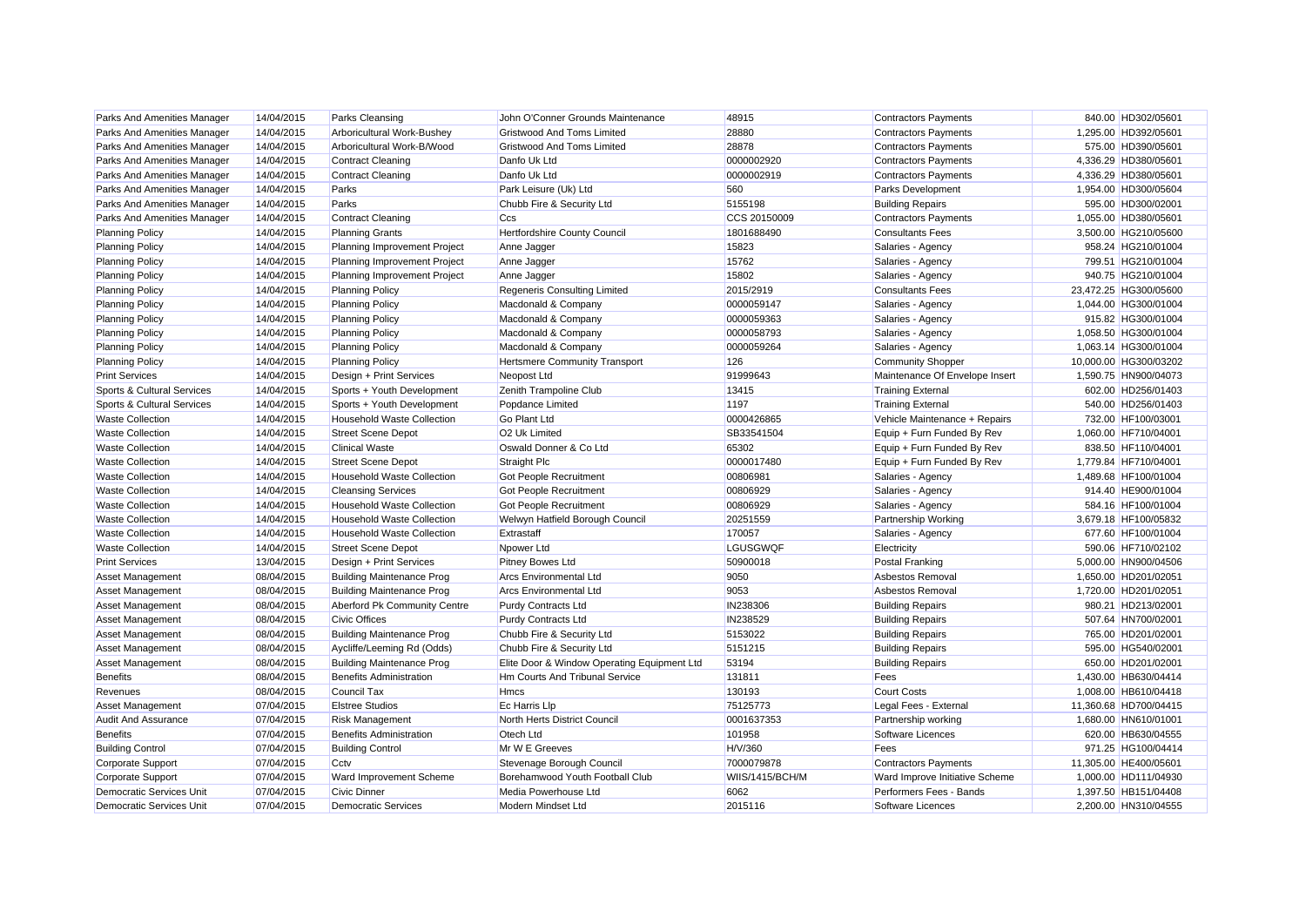| Parks And Amenities Manager           | 14/04/2015 | <b>Parks Cleansing</b>            | John O'Conner Grounds Maintenance           | 48915           | <b>Contractors Payments</b>    | 840.00 HD302/0560     |
|---------------------------------------|------------|-----------------------------------|---------------------------------------------|-----------------|--------------------------------|-----------------------|
| Parks And Amenities Manager           | 14/04/2015 | Arboricultural Work-Bushey        | <b>Gristwood And Toms Limited</b>           | 28880           | <b>Contractors Payments</b>    | 1,295.00 HD392/05601  |
| Parks And Amenities Manager           | 14/04/2015 | Arboricultural Work-B/Wood        | <b>Gristwood And Toms Limited</b>           | 28878           | <b>Contractors Payments</b>    | 575.00 HD390/05601    |
| Parks And Amenities Manager           | 14/04/2015 | <b>Contract Cleaning</b>          | Danfo Uk Ltd                                | 0000002920      | <b>Contractors Payments</b>    | 4,336.29 HD380/05601  |
| Parks And Amenities Manager           | 14/04/2015 | <b>Contract Cleaning</b>          | Danfo Uk Ltd                                | 0000002919      | <b>Contractors Payments</b>    | 4,336.29 HD380/05601  |
| Parks And Amenities Manager           | 14/04/2015 | Parks                             | Park Leisure (Uk) Ltd                       | 560             | <b>Parks Development</b>       | 1,954.00 HD300/05604  |
| Parks And Amenities Manager           | 14/04/2015 | Parks                             | Chubb Fire & Security Ltd                   | 5155198         | <b>Building Repairs</b>        | 595.00 HD300/02001    |
| Parks And Amenities Manager           | 14/04/2015 | <b>Contract Cleaning</b>          | Ccs                                         | CCS 20150009    | <b>Contractors Payments</b>    | 1,055.00 HD380/05601  |
| <b>Planning Policy</b>                | 14/04/2015 | <b>Planning Grants</b>            | Hertfordshire County Council                | 1801688490      | <b>Consultants Fees</b>        | 3,500.00 HG210/05600  |
| <b>Planning Policy</b>                | 14/04/2015 | Planning Improvement Project      | Anne Jagger                                 | 15823           | Salaries - Agency              | 958.24 HG210/01004    |
| <b>Planning Policy</b>                | 14/04/2015 | Planning Improvement Project      | Anne Jagger                                 | 15762           | Salaries - Agency              | 799.51 HG210/01004    |
| <b>Planning Policy</b>                | 14/04/2015 | Planning Improvement Project      | Anne Jagger                                 | 15802           | Salaries - Agency              | 940.75 HG210/01004    |
| <b>Planning Policy</b>                | 14/04/2015 | <b>Planning Policy</b>            | <b>Regeneris Consulting Limited</b>         | 2015/2919       | <b>Consultants Fees</b>        | 23,472.25 HG300/05600 |
| <b>Planning Policy</b>                | 14/04/2015 | <b>Planning Policy</b>            | Macdonald & Company                         | 0000059147      | Salaries - Agency              | 1,044.00 HG300/01004  |
| <b>Planning Policy</b>                | 14/04/2015 | <b>Planning Policy</b>            | Macdonald & Company                         | 0000059363      | Salaries - Agency              | 915.82 HG300/01004    |
| <b>Planning Policy</b>                | 14/04/2015 | <b>Planning Policy</b>            | Macdonald & Company                         | 0000058793      | Salaries - Agency              | 1,058.50 HG300/01004  |
| <b>Planning Policy</b>                | 14/04/2015 | <b>Planning Policy</b>            | Macdonald & Company                         | 0000059264      | Salaries - Agency              | 1,063.14 HG300/01004  |
| <b>Planning Policy</b>                | 14/04/2015 | <b>Planning Policy</b>            | <b>Hertsmere Community Transport</b>        | 126             | <b>Community Shopper</b>       | 10,000.00 HG300/03202 |
| <b>Print Services</b>                 | 14/04/2015 | Design + Print Services           | Neopost Ltd                                 | 91999643        | Maintenance Of Envelope Insert | 1,590.75 HN900/04073  |
| Sports & Cultural Services            | 14/04/2015 | Sports + Youth Development        | Zenith Trampoline Club                      | 13415           | <b>Training External</b>       | 602.00 HD256/01403    |
| <b>Sports &amp; Cultural Services</b> | 14/04/2015 | Sports + Youth Development        | Popdance Limited                            | 1197            | <b>Training External</b>       | 540.00 HD256/01403    |
| <b>Waste Collection</b>               | 14/04/2015 | Household Waste Collection        | <b>Go Plant Ltd</b>                         | 0000426865      | Vehicle Maintenance + Repairs  | 732.00 HF100/03001    |
| <b>Waste Collection</b>               | 14/04/2015 | <b>Street Scene Depot</b>         | O <sub>2</sub> Uk Limited                   | SB33541504      | Equip + Furn Funded By Rev     | 1,060.00 HF710/04001  |
| <b>Waste Collection</b>               | 14/04/2015 | <b>Clinical Waste</b>             | Oswald Donner & Co Ltd                      | 65302           | Equip + Furn Funded By Rev     | 838.50 HF110/04001    |
| <b>Waste Collection</b>               | 14/04/2015 | <b>Street Scene Depot</b>         | <b>Straight Plc</b>                         | 0000017480      | Equip + Furn Funded By Rev     | 1,779.84 HF710/04001  |
| <b>Waste Collection</b>               | 14/04/2015 | Household Waste Collection        | Got People Recruitment                      | 00806981        | Salaries - Agency              | 1,489.68 HF100/01004  |
| <b>Waste Collection</b>               | 14/04/2015 | <b>Cleansing Services</b>         | <b>Got People Recruitment</b>               | 00806929        | Salaries - Agency              | 914.40 HE900/01004    |
| <b>Waste Collection</b>               | 14/04/2015 | Household Waste Collection        | <b>Got People Recruitment</b>               | 00806929        | Salaries - Agency              | 584.16 HF100/01004    |
| <b>Waste Collection</b>               | 14/04/2015 | <b>Household Waste Collection</b> | Welwyn Hatfield Borough Council             | 20251559        | <b>Partnership Working</b>     | 3,679.18 HF100/05832  |
| <b>Waste Collection</b>               | 14/04/2015 | <b>Household Waste Collection</b> | Extrastaff                                  | 170057          | Salaries - Agency              | 677.60 HF100/01004    |
| <b>Waste Collection</b>               | 14/04/2015 | <b>Street Scene Depot</b>         | Npower Ltd                                  | <b>LGUSGWQF</b> | Electricity                    | 590.06 HF710/02102    |
| <b>Print Services</b>                 | 13/04/2015 | Design + Print Services           | <b>Pitney Bowes Ltd</b>                     | 50900018        | <b>Postal Franking</b>         | 5,000.00 HN900/04506  |
| Asset Management                      | 08/04/2015 | <b>Building Maintenance Prog</b>  | <b>Arcs Environmental Ltd</b>               | 9050            | Asbestos Removal               | 1,650.00 HD201/02051  |
| Asset Management                      | 08/04/2015 | <b>Building Maintenance Prog</b>  | <b>Arcs Environmental Ltd</b>               | 9053            | Asbestos Removal               | 1,720.00 HD201/02051  |
| Asset Management                      | 08/04/2015 | Aberford Pk Community Centre      | <b>Purdy Contracts Ltd</b>                  | IN238306        | <b>Building Repairs</b>        | 980.21 HD213/02001    |
| Asset Management                      | 08/04/2015 | <b>Civic Offices</b>              | <b>Purdy Contracts Ltd</b>                  | IN238529        | <b>Building Repairs</b>        | 507.64 HN700/02001    |
| Asset Management                      | 08/04/2015 | <b>Building Maintenance Prog</b>  | Chubb Fire & Security Ltd                   | 5153022         | <b>Building Repairs</b>        | 765.00 HD201/02001    |
| Asset Management                      | 08/04/2015 | Aycliffe/Leeming Rd (Odds)        | Chubb Fire & Security Ltd                   | 5151215         | <b>Building Repairs</b>        | 595.00 HG540/02001    |
| Asset Management                      | 08/04/2015 | <b>Building Maintenance Prog</b>  | Elite Door & Window Operating Equipment Ltd | 53194           | <b>Building Repairs</b>        | 650.00 HD201/02001    |
| <b>Benefits</b>                       | 08/04/2015 | <b>Benefits Administration</b>    | Hm Courts And Tribunal Service              | 131811          | Fees                           | 1,430.00 HB630/04414  |
| Revenues                              | 08/04/2015 | Council Tax                       | <b>Hmcs</b>                                 | 130193          | <b>Court Costs</b>             | 1.008.00 HB610/04418  |
| Asset Management                      | 07/04/2015 | <b>Elstree Studios</b>            | <b>Ec Harris Llp</b>                        | 75125773        | Legal Fees - External          | 11.360.68 HD700/04415 |
| <b>Audit And Assurance</b>            | 07/04/2015 | <b>Risk Management</b>            | North Herts District Council                | 0001637353      | Partnership working            | 1,680.00 HN610/01001  |
| <b>Benefits</b>                       | 07/04/2015 | <b>Benefits Administration</b>    | Otech Ltd                                   | 101958          | Software Licences              | 620.00 HB630/04555    |
| <b>Building Control</b>               | 07/04/2015 | <b>Building Control</b>           | Mr W E Greeves                              | H/V/360         | Fees                           | 971.25 HG100/04414    |
| Corporate Support                     | 07/04/2015 | Cctv                              | Stevenage Borough Council                   | 7000079878      | <b>Contractors Payments</b>    | 11,305.00 HE400/05601 |
| Corporate Support                     | 07/04/2015 | <b>Ward Improvement Scheme</b>    | Borehamwood Youth Football Club             | WIIS/1415/BCH/M | Ward Improve Initiative Scheme | 1,000.00 HD111/04930  |
| Democratic Services Unit              | 07/04/2015 | <b>Civic Dinner</b>               | Media Powerhouse Ltd                        | 6062            | Performers Fees - Bands        | 1.397.50 HB151/04408  |
| <b>Democratic Services Unit</b>       | 07/04/2015 | <b>Democratic Services</b>        | <b>Modern Mindset Ltd</b>                   | 2015116         | Software Licences              | 2.200.00 HN310/04555  |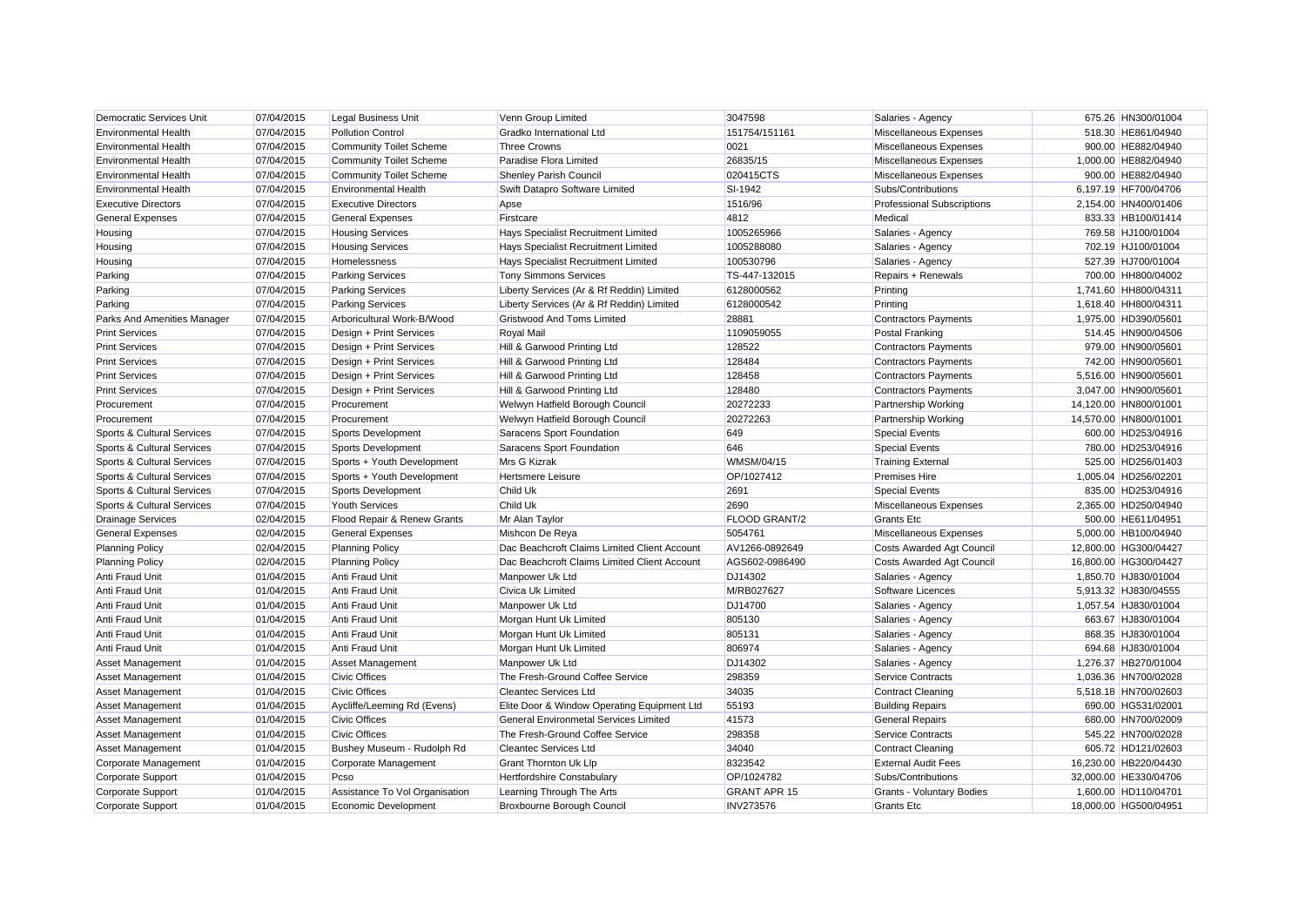| Democratic Services Unit              | 07/04/2015 | Legal Business Unit            | Venn Group Limited                           | 3047598              | Salaries - Agency                 | 675.26 HN300/01004    |
|---------------------------------------|------------|--------------------------------|----------------------------------------------|----------------------|-----------------------------------|-----------------------|
| <b>Environmental Health</b>           | 07/04/2015 | <b>Pollution Control</b>       | Gradko International Ltd                     | 151754/151161        | Miscellaneous Expenses            | 518.30 HE861/04940    |
| <b>Environmental Health</b>           | 07/04/2015 | <b>Community Toilet Scheme</b> | <b>Three Crowns</b>                          | 0021                 | Miscellaneous Expenses            | 900.00 HE882/04940    |
| <b>Environmental Health</b>           | 07/04/2015 | <b>Community Toilet Scheme</b> | Paradise Flora Limited                       | 26835/15             | Miscellaneous Expenses            | 1,000.00 HE882/04940  |
| <b>Environmental Health</b>           | 07/04/2015 | <b>Community Toilet Scheme</b> | Shenley Parish Council                       | 020415CTS            | Miscellaneous Expenses            | 900.00 HE882/04940    |
| <b>Environmental Health</b>           | 07/04/2015 | <b>Environmental Health</b>    | Swift Datapro Software Limited               | SI-1942              | Subs/Contributions                | 6,197.19 HF700/04706  |
| <b>Executive Directors</b>            | 07/04/2015 | <b>Executive Directors</b>     | Apse                                         | 1516/96              | <b>Professional Subscriptions</b> | 2,154.00 HN400/01406  |
| <b>General Expenses</b>               | 07/04/2015 | <b>General Expenses</b>        | Firstcare                                    | 4812                 | Medical                           | 833.33 HB100/01414    |
| Housing                               | 07/04/2015 | <b>Housing Services</b>        | Hays Specialist Recruitment Limited          | 1005265966           | Salaries - Agency                 | 769.58 HJ100/01004    |
| Housing                               | 07/04/2015 | <b>Housing Services</b>        | Hays Specialist Recruitment Limited          | 1005288080           | Salaries - Agency                 | 702.19 HJ100/01004    |
| Housing                               | 07/04/2015 | Homelessness                   | Hays Specialist Recruitment Limited          | 100530796            | Salaries - Agency                 | 527.39 HJ700/01004    |
| Parking                               | 07/04/2015 | <b>Parking Services</b>        | <b>Tony Simmons Services</b>                 | TS-447-132015        | Repairs + Renewals                | 700.00 HH800/04002    |
| Parking                               | 07/04/2015 | <b>Parking Services</b>        | Liberty Services (Ar & Rf Reddin) Limited    | 6128000562           | Printing                          | 1,741.60 HH800/04311  |
| Parking                               | 07/04/2015 | <b>Parking Services</b>        | Liberty Services (Ar & Rf Reddin) Limited    | 6128000542           | Printing                          | 1,618.40 HH800/04311  |
| Parks And Amenities Manager           | 07/04/2015 | Arboricultural Work-B/Wood     | <b>Gristwood And Toms Limited</b>            | 28881                | <b>Contractors Payments</b>       | 1,975.00 HD390/05601  |
| <b>Print Services</b>                 | 07/04/2015 | Design + Print Services        | <b>Royal Mail</b>                            | 1109059055           | <b>Postal Franking</b>            | 514.45 HN900/04506    |
| <b>Print Services</b>                 | 07/04/2015 | Design + Print Services        | Hill & Garwood Printing Ltd                  | 128522               | <b>Contractors Payments</b>       | 979.00 HN900/05601    |
| <b>Print Services</b>                 | 07/04/2015 | Design + Print Services        | Hill & Garwood Printing Ltd                  | 128484               | <b>Contractors Payments</b>       | 742.00 HN900/05601    |
| <b>Print Services</b>                 | 07/04/2015 | Design + Print Services        | Hill & Garwood Printing Ltd                  | 128458               | <b>Contractors Payments</b>       | 5,516.00 HN900/05601  |
| <b>Print Services</b>                 | 07/04/2015 | Design + Print Services        | Hill & Garwood Printing Ltd                  | 128480               | <b>Contractors Payments</b>       | 3,047.00 HN900/05601  |
| Procurement                           | 07/04/2015 | Procurement                    | Welwyn Hatfield Borough Council              | 20272233             | <b>Partnership Working</b>        | 14,120.00 HN800/01001 |
| Procurement                           | 07/04/2015 | Procurement                    | Welwyn Hatfield Borough Council              | 20272263             | <b>Partnership Working</b>        | 14,570.00 HN800/01001 |
| Sports & Cultural Services            | 07/04/2015 | Sports Development             | Saracens Sport Foundation                    | 649                  | <b>Special Events</b>             | 600.00 HD253/04916    |
| Sports & Cultural Services            | 07/04/2015 | Sports Development             | Saracens Sport Foundation                    | 646                  | <b>Special Events</b>             | 780.00 HD253/04916    |
| Sports & Cultural Services            | 07/04/2015 | Sports + Youth Development     | Mrs G Kizrak                                 | <b>WMSM/04/15</b>    | <b>Training External</b>          | 525.00 HD256/01403    |
| <b>Sports &amp; Cultural Services</b> | 07/04/2015 | Sports + Youth Development     | <b>Hertsmere Leisure</b>                     | OP/1027412           | <b>Premises Hire</b>              | 1,005.04 HD256/02201  |
| Sports & Cultural Services            | 07/04/2015 | Sports Development             | <b>Child Uk</b>                              | 2691                 | <b>Special Events</b>             | 835.00 HD253/04916    |
| Sports & Cultural Services            | 07/04/2015 | <b>Youth Services</b>          | <b>Child Uk</b>                              | 2690                 | Miscellaneous Expenses            | 2,365.00 HD250/04940  |
| <b>Drainage Services</b>              | 02/04/2015 | Flood Repair & Renew Grants    | Mr Alan Taylor                               | <b>FLOOD GRANT/2</b> | <b>Grants Etc</b>                 | 500.00 HE611/04951    |
| <b>General Expenses</b>               | 02/04/2015 | <b>General Expenses</b>        | Mishcon De Reya                              | 5054761              | Miscellaneous Expenses            | 5,000.00 HB100/04940  |
| <b>Planning Policy</b>                | 02/04/2015 | <b>Planning Policy</b>         | Dac Beachcroft Claims Limited Client Account | AV1266-0892649       | <b>Costs Awarded Agt Council</b>  | 12,800.00 HG300/04427 |
| <b>Planning Policy</b>                | 02/04/2015 | <b>Planning Policy</b>         | Dac Beachcroft Claims Limited Client Account | AGS602-0986490       | <b>Costs Awarded Agt Council</b>  | 16,800.00 HG300/04427 |
| Anti Fraud Unit                       | 01/04/2015 | <b>Anti Fraud Unit</b>         | Manpower Uk Ltd                              | DJ14302              | Salaries - Agency                 | 1,850.70 HJ830/01004  |
| <b>Anti Fraud Unit</b>                | 01/04/2015 | Anti Fraud Unit                | Civica Uk Limited                            | M/RB027627           | Software Licences                 | 5,913.32 HJ830/04555  |
| Anti Fraud Unit                       | 01/04/2015 | Anti Fraud Unit                | Manpower Uk Ltd                              | DJ14700              | Salaries - Agency                 | 1,057.54 HJ830/01004  |
| Anti Fraud Unit                       | 01/04/2015 | Anti Fraud Unit                | Morgan Hunt Uk Limited                       | 805130               | Salaries - Agency                 | 663.67 HJ830/01004    |
| Anti Fraud Unit                       | 01/04/2015 | Anti Fraud Unit                | Morgan Hunt Uk Limited                       | 805131               | Salaries - Agency                 | 868.35 HJ830/01004    |
| Anti Fraud Unit                       | 01/04/2015 | Anti Fraud Unit                | Morgan Hunt Uk Limited                       | 806974               | Salaries - Agency                 | 694.68 HJ830/01004    |
| Asset Management                      | 01/04/2015 | <b>Asset Management</b>        | Manpower Uk Ltd                              | DJ14302              | Salaries - Agency                 | 1,276.37 HB270/01004  |
| Asset Management                      | 01/04/2015 | <b>Civic Offices</b>           | The Fresh-Ground Coffee Service              | 298359               | <b>Service Contracts</b>          | 1,036.36 HN700/02028  |
| Asset Management                      | 01/04/2015 | <b>Civic Offices</b>           | <b>Cleantec Services Ltd</b>                 | 34035                | <b>Contract Cleaning</b>          | 5.518.18 HN700/02603  |
| Asset Management                      | 01/04/2015 | Aycliffe/Leeming Rd (Evens)    | Elite Door & Window Operating Equipment Ltd  | 55193                | <b>Building Repairs</b>           | 690.00 HG531/02001    |
| Asset Management                      | 01/04/2015 | <b>Civic Offices</b>           | General Environmetal Services Limited        | 41573                | <b>General Repairs</b>            | 680.00 HN700/02009    |
| <b>Asset Management</b>               | 01/04/2015 | <b>Civic Offices</b>           | The Fresh-Ground Coffee Service              | 298358               | <b>Service Contracts</b>          | 545.22 HN700/02028    |
| <b>Asset Management</b>               | 01/04/2015 | Bushey Museum - Rudolph Rd     | <b>Cleantec Services Ltd</b>                 | 34040                | <b>Contract Cleaning</b>          | 605.72 HD121/02603    |
| Corporate Management                  | 01/04/2015 | Corporate Management           | <b>Grant Thornton Uk Llp</b>                 | 8323542              | <b>External Audit Fees</b>        | 16,230.00 HB220/04430 |
| Corporate Support                     | 01/04/2015 | Pcso                           | Hertfordshire Constabulary                   | OP/1024782           | Subs/Contributions                | 32,000.00 HE330/04706 |
| Corporate Support                     | 01/04/2015 | Assistance To Vol Organisation | Learning Through The Arts                    | <b>GRANT APR 15</b>  | <b>Grants - Voluntary Bodies</b>  | 1.600.00 HD110/04701  |
| Corporate Support                     | 01/04/2015 | Economic Development           | Broxbourne Borough Council                   | <b>INV273576</b>     | <b>Grants Etc</b>                 | 18.000.00 HG500/04951 |